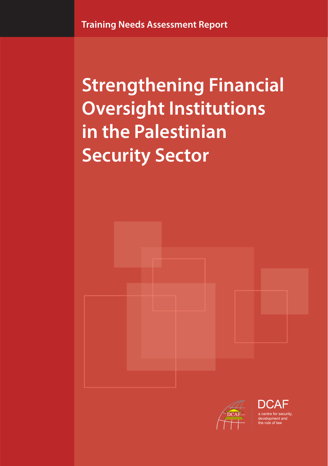**Strengthening Financial Oversight Institutions in the Palestinian Security Sector**



a centre for security, development and the rule of law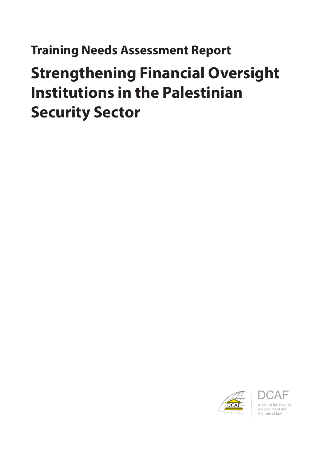## **Training Needs Assessment Report**

# **Strengthening Financial Oversight Institutions in the Palestinian Security Sector**



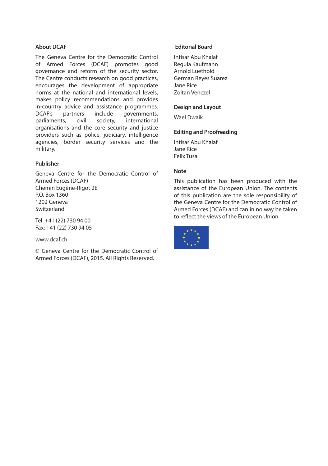#### **About DCAF**

The Geneva Centre for the Democratic Control of Armed Forces (DCAF) promotes good governance and reform of the security sector. The Centre conducts research on good practices, encourages the development of appropriate norms at the national and international levels, makes policy recommendations and provides in-country advice and assistance programmes. DCAF's partners include governments, parliaments, civil society, international organisations and the core security and justice providers such as police, judiciary, intelligence agencies, border security services and the military.

#### **Publisher**

Geneva Centre for the Democratic Control of Armed Forces (DCAF) Chemin Eugène-Rigot 2E P.O. Box 1360 1202 Geneva Switzerland

Tel: +41 (22) 730 94 00 Fax: +41 (22) 730 94 05

#### www.dcaf.ch

© Geneva Centre for the Democratic Control of Armed Forces (DCAF), 2015. All Rights Reserved.

#### **Editorial Board**

Intisar Abu Khalaf Regula Kaufmann Arnold Luethold German Reyes Suarez Jane Rice Zoltan Venczel

#### **Design and Layout**

Wael Dwaik

#### **Editing and Proofreading**

Intisar Abu Khalaf Jane Rice Felix Tusa

#### **Note**

This publication has been produced with the assistance of the European Union. The contents of this publication are the sole responsibility of the Geneva Centre for the Democratic Control of Armed Forces (DCAF) and can in no way be taken to reflect the views of the European Union.

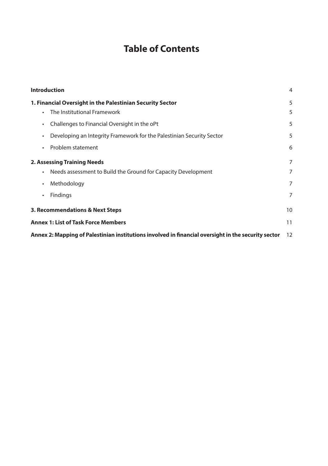## **Table of Contents**

| <b>Introduction</b>                                                                                   | 4      |
|-------------------------------------------------------------------------------------------------------|--------|
| 1. Financial Oversight in the Palestinian Security Sector<br>The Institutional Framework<br>$\bullet$ | 5<br>5 |
| Challenges to Financial Oversight in the oPt<br>$\bullet$                                             | 5      |
| Developing an Integrity Framework for the Palestinian Security Sector<br>$\bullet$                    | 5      |
| Problem statement<br>$\bullet$                                                                        | 6      |
| <b>2. Assessing Training Needs</b>                                                                    | 7      |
| Needs assessment to Build the Ground for Capacity Development<br>$\bullet$                            | 7      |
| Methodology<br>$\bullet$                                                                              | 7      |
| Findings<br>$\bullet$                                                                                 | 7      |
| 3. Recommendations & Next Steps                                                                       | 10     |
| <b>Annex 1: List of Task Force Members</b>                                                            | 11     |
| Annex 2: Mapping of Palestinian institutions involved in financial oversight in the security sector   | 12     |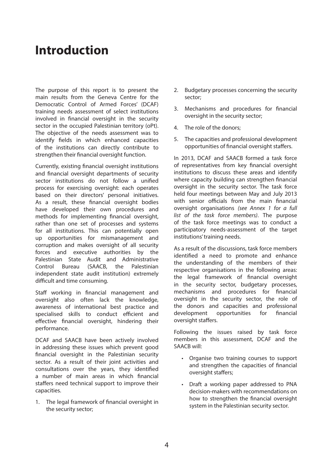## **Introduction**

The purpose of this report is to present the main results from the Geneva Centre for the Democratic Control of Armed Forces' (DCAF) training needs assessment of select institutions involved in financial oversight in the security sector in the occupied Palestinian territory (oPt). The objective of the needs assessment was to identify fields in which enhanced capacities of the institutions can directly contribute to strengthen their financial oversight function.

Currently, existing financial oversight institutions and financial oversight departments of security sector institutions do not follow a unified process for exercising oversight: each operates based on their directors' personal initiatives. As a result, these financial oversight bodies have developed their own procedures and methods for implementing financial oversight, rather than one set of processes and systems for all institutions. This can potentially open up opportunities for mismanagement and corruption and makes oversight of all security forces and executive authorities by the Palestinian State Audit and Administrative Control Bureau (SAACB, the Palestinian independent state audit institution) extremely difficult and time consuming.

Staff working in financial management and oversight also often lack the knowledge, awareness of international best practice and specialised skills to conduct efficient and effective financial oversight, hindering their performance.

DCAF and SAACB have been actively involved in addressing these issues which prevent good financial oversight in the Palestinian security sector. As a result of their joint activities and consultations over the years, they identified a number of main areas in which financial staffers need technical support to improve their capacities.

1. The legal framework of financial oversight in the security sector;

- 2. Budgetary processes concerning the security sector;
- 3. Mechanisms and procedures for financial oversight in the security sector;
- 4. The role of the donors;
- 5. The capacities and professional development opportunities of financial oversight staffers.

In 2013, DCAF and SAACB formed a task force of representatives from key financial oversight institutions to discuss these areas and identify where capacity building can strengthen financial oversight in the security sector. The task force held four meetings between May and July 2013 with senior officials from the main financial oversight organisations *(see Annex 1 for a full list of the task force members)*. The purpose of the task force meetings was to conduct a participatory needs-assessment of the target institutions' training needs.

As a result of the discussions, task force members identified a need to promote and enhance the understanding of the members of their respective organisations in the following areas: the legal framework of financial oversight in the security sector, budgetary processes, mechanisms and procedures for financial oversight in the security sector, the role of the donors and capacities and professional development opportunities for financial oversight staffers.

Following the issues raised by task force members in this assessment, DCAF and the SAACB will:

- • Organise two training courses to support and strengthen the capacities of financial oversight staffers;
- • Draft a working paper addressed to PNA decision-makers with recommendations on how to strengthen the financial oversight system in the Palestinian security sector.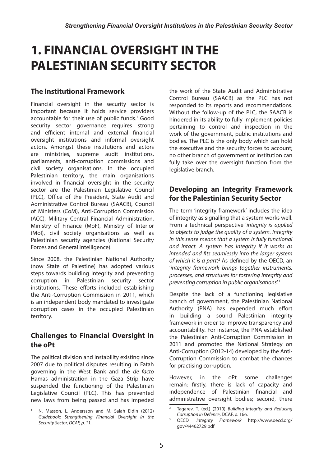## **1. FINANCIAL OVERSIGHT IN THE PALESTINIAN SECURITY SECTOR**

## **The Institutional Framework**

Financial oversight in the security sector is important because it holds service providers accountable for their use of public funds.<sup>1</sup> Good security sector governance requires strong and efficient internal and external financial oversight institutions and informal oversight actors. Amongst these institutions and actors are ministries, supreme audit institutions, parliaments, anti-corruption commissions and civil society organisations. In the occupied Palestinian territory, the main organisations involved in financial oversight in the security sector are the Palestinian Legislative Council (PLC), Office of the President, State Audit and Administrative Control Bureau (SAACB), Council of Ministers (CoM), Anti-Corruption Commission (ACC), Military Central Financial Administration, Ministry of Finance (MoF), Ministry of Interior (MoI), civil society organisations as well as Palestinian security agencies (National Security Forces and General Intelligence).

Since 2008, the Palestinian National Authority (now State of Palestine) has adopted various steps towards building integrity and preventing corruption in Palestinian security sector institutions. These efforts included establishing the Anti-Corruption Commission in 2011, which is an independent body mandated to investigate corruption cases in the occupied Palestinian territory.

### **Challenges to Financial Oversight in the oPt**

The political division and instability existing since 2007 due to political disputes resulting in Fatah governing in the West Bank and the *de facto* Hamas administration in the Gaza Strip have suspended the functioning of the Palestinian Legislative Council (PLC). This has prevented new laws from being passed and has impeded the work of the State Audit and Administrative Control Bureau (SAACB) as the PLC has not responded to its reports and recommendations. Without the follow-up of the PLC, the SAACB is hindered in its ability to fully implement policies pertaining to control and inspection in the work of the government, public institutions and bodies. The PLC is the only body which can hold the executive and the security forces to account; no other branch of government or institution can fully take over the oversight function from the legislative branch.

### **Developing an Integrity Framework for the Palestinian Security Sector**

The term 'integrity framework' includes the idea of integrity as signalling that a system works well. From a technical perspective '*integrity is applied to objects to judge the quality of a system. Integrity in this sense means that a system is fully functional and intact. A system has integrity if it works as intended and fits seamlessly into the larger system of which it is a part'.2* As defined by the OECD, an '*integrity framework brings together instruments, processes, and structures for fostering integrity and preventing corruption in public organisations*'.3

Despite the lack of a functioning legislative branch of government, the Palestinian National Authority (PNA) has expended much effort in building a sound Palestinian integrity framework in order to improve transparency and accountability. For instance, the PNA established the Palestinian Anti-Corruption Commission in 2011 and promoted the National Strategy on Anti-Corruption (2012-14) developed by the Anti-Corruption Commission to combat the chances for practising corruption.

However, in the oPt some challenges remain: firstly, there is lack of capacity and independence of Palestinian financial and administrative oversight bodies; second, there

<sup>1</sup> N. Masson, L. Andersson and M. Salah Eldin (2012) *Guidebook: Strengthening Financial Oversight in the Security Sector, DCAF, p. 11.* 

<sup>2</sup> Tagarev, T. (ed.) (2010) *Building Integrity and Reducing Corruption in Defence*, DCAF, p. 166.

<sup>3</sup> OECD *Integrity Framework* [http://www.oecd.org/](http://www.oecd.org/gov/44462729.pdf) [gov/44462729.pdf](http://www.oecd.org/gov/44462729.pdf)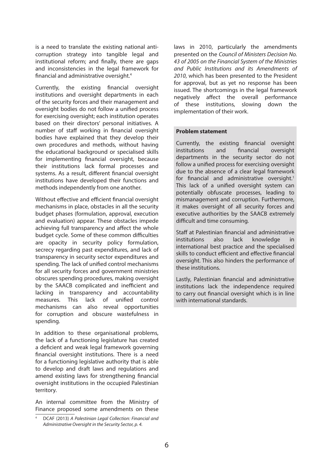is a need to translate the existing national anticorruption strategy into tangible legal and institutional reform; and finally, there are gaps and inconsistencies in the legal framework for financial and administrative oversight.4

Currently, the existing financial oversight institutions and oversight departments in each of the security forces and their management and oversight bodies do not follow a unified process for exercising oversight; each institution operates based on their directors' personal initiatives. A number of staff working in financial oversight bodies have explained that they develop their own procedures and methods, without having the educational background or specialised skills for implementing financial oversight, because their institutions lack formal processes and systems. As a result, different financial oversight institutions have developed their functions and methods independently from one another.

Without effective and efficient financial oversight mechanisms in place, obstacles in all the security budget phases (formulation, approval, execution and evaluation) appear. These obstacles impede achieving full transparency and affect the whole budget cycle. Some of these common difficulties are opacity in security policy formulation, secrecy regarding past expenditures, and lack of transparency in security sector expenditures and spending. The lack of unified control mechanisms for all security forces and government ministries obscures spending procedures, making oversight by the SAACB complicated and inefficient and lacking in transparency and accountability measures. This lack of unified control mechanisms can also reveal opportunities for corruption and obscure wastefulness in spending.

In addition to these organisational problems, the lack of a functioning legislature has created a deficient and weak legal framework governing financial oversight institutions. There is a need for a functioning legislative authority that is able to develop and draft laws and regulations and amend existing laws for strengthening financial oversight institutions in the occupied Palestinian territory.

An internal committee from the Ministry of Finance proposed some amendments on these

laws in 2010, particularly the amendments presented on the *Council of Ministers Decision No. 43 of 2005 on the Financial System of the Ministries and Public Institutions and its Amendments of 2010*, which has been presented to the President for approval, but as yet no response has been issued. The shortcomings in the legal framework negatively affect the overall performance of these institutions, slowing down the implementation of their work.

#### **Problem statement**

Currently, the existing financial oversight institutions and financial oversight departments in the security sector do not follow a unified process for exercising oversight due to the absence of a clear legal framework for financial and administrative oversight.<sup>1</sup> This lack of a unified oversight system can potentially obfuscate processes, leading to mismanagement and corruption. Furthermore, it makes oversight of all security forces and executive authorities by the SAACB extremely difficult and time consuming.

Staff at Palestinian financial and administrative institutions also lack knowledge in international best practice and the specialised skills to conduct efficient and effective financial oversight. This also hinders the performance of these institutions.

Lastly, Palestinian financial and administrative institutions lack the independence required to carry out financial oversight which is in line with international standards.

<sup>4</sup> DCAF (2013) *A Palestinian Legal Collection: Financial and Administrative Oversight in the Security Sector, p. 4.*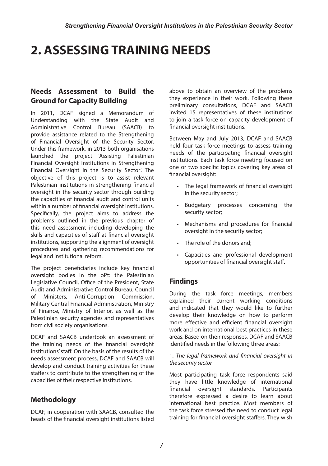## **2. ASSESSING TRAINING NEEDS**

## **Needs Assessment to Build the Ground for Capacity Building**

In 2011, DCAF signed a Memorandum of Understanding with the State Audit and Administrative Control Bureau (SAACB) to provide assistance related to the Strengthening of Financial Oversight of the Security Sector. Under this framework, in 2013 both organisations launched the project 'Assisting Palestinian Financial Oversight Institutions in Strengthening Financial Oversight in the Security Sector'. The objective of this project is to assist relevant Palestinian institutions in strengthening financial oversight in the security sector through building the capacities of financial audit and control units within a number of financial oversight institutions. Specifically, the project aims to address the problems outlined in the previous chapter of this need assessment including developing the skills and capacities of staff at financial oversight institutions, supporting the alignment of oversight procedures and gathering recommendations for legal and institutional reform.

The project beneficiaries include key financial oversight bodies in the oPt: the Palestinian Legislative Council, Office of the President, State Audit and Administrative Control Bureau, Council of Ministers, Anti-Corruption Commission, Military Central Financial Administration, Ministry of Finance, Ministry of Interior, as well as the Palestinian security agencies and representatives from civil society organisations.

DCAF and SAACB undertook an assessment of the training needs of the financial oversight institutions' staff. On the basis of the results of the needs assessment process, DCAF and SAACB will develop and conduct training activities for these staffers to contribute to the strengthening of the capacities of their respective institutions.

## **Methodology**

DCAF, in cooperation with SAACB, consulted the heads of the financial oversight institutions listed above to obtain an overview of the problems they experience in their work. Following these preliminary consultations, DCAF and SAACB invited 15 representatives of these institutions to ioin a task force on capacity development of financial oversight institutions.

Between May and July 2013, DCAF and SAACB held four task force meetings to assess training needs of the participating financial oversight institutions. Each task force meeting focused on one or two specific topics covering key areas of financial oversight:

- • The legal framework of financial oversight in the security sector;
- • Budgetary processes concerning the security sector;
- • Mechanisms and procedures for financial oversight in the security sector;
- The role of the donors and:
- • Capacities and professional development opportunities of financial oversight staff.

### **Findings**

During the task force meetings, members explained their current working conditions and indicated that they would like to further develop their knowledge on how to perform more effective and efficient financial oversight work and on international best practices in these areas. Based on their responses, DCAF and SAACB identified needs in the following three areas:

#### 1. *The legal framework and financial oversight in the security sector*

Most participating task force respondents said they have little knowledge of international financial oversight standards. Participants therefore expressed a desire to learn about international best practice. Most members of the task force stressed the need to conduct legal training for financial oversight staffers. They wish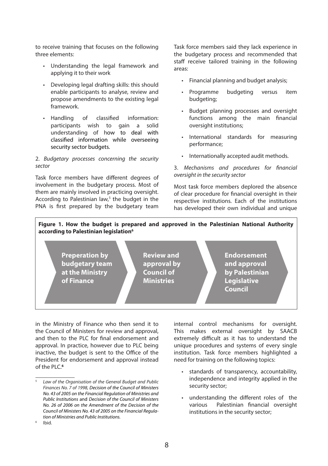to receive training that focuses on the following three elements:

- Understanding the legal framework and applying it to their work
- Developing legal drafting skills: this should enable participants to analyse, review and propose amendments to the existing legal framework.
- • Handling of classified information: participants wish to gain a solid understanding of how to deal with classified information while overseeing security sector budgets.

#### 2. *Budgetary processes concerning the security sector*

Task force members have different degrees of involvement in the budgetary process. Most of them are mainly involved in practicing oversight. According to Palestinian law,<sup>5</sup> the budget in the PNA is first prepared by the budgetary team Task force members said they lack experience in the budgetary process and recommended that staff receive tailored training in the following areas:

- • Financial planning and budget analysis;
- Programme budgeting versus item budgeting;
- • Budget planning processes and oversight functions among the main financial oversight institutions;
- • International standards for measuring performance;
- • Internationally accepted audit methods.

#### 3. *Mechanisms and procedures for financial oversight in the security sector*

Most task force members deplored the absence of clear procedure for financial oversight in their respective institutions. Each of the institutions has developed their own individual and unique

#### **Figure 1. How the budget is prepared and approved in the Palestinian National Authority according to Palestinian legislation6**



in the Ministry of Finance who then send it to the Council of Ministers for review and approval, and then to the PLC for final endorsement and approval. In practice, however due to PLC being inactive, the budget is sent to the Office of the President for endorsement and approval instead of the PLC.**<sup>6</sup>**

internal control mechanisms for oversight. This makes external oversight by SAACB extremely difficult as it has to understand the unique procedures and systems of every single institution. Task force members highlighted a need for training on the following topics:

- standards of transparency, accountability, independence and integrity applied in the security sector;
- understanding the different roles of the various Palestinian financial oversight institutions in the security sector;

Ibid.

<sup>5</sup> *Law of the Organisation of the General Budget and Public Finances No. 7 of 1998, Decision of the Council of Ministers No. 43 of 2005 on the Financial Regulation of Ministries and Public Institutions* and *Decision of the Council of Ministers No. 26 of 2006 on the Amendment of the Decision of the Council of Ministers No. 43 of 2005 on the Financial Regulation of Ministries and Public Institutions.*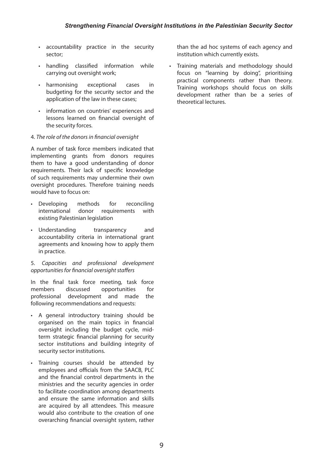- • accountability practice in the security sector;
- • handling classified information while carrying out oversight work;
- harmonising exceptional cases in budgeting for the security sector and the application of the law in these cases;
- • information on countries' experiences and lessons learned on financial oversight of the security forces.

#### 4. *The role of the donors in financial oversight*

A number of task force members indicated that implementing grants from donors requires them to have a good understanding of donor requirements. Their lack of specific knowledge of such requirements may undermine their own oversight procedures. Therefore training needs would have to focus on:

- • Developing methods for reconciling international donor requirements with existing Palestinian legislation
- Understanding transparency and accountability criteria in international grant agreements and knowing how to apply them in practice.

#### 5. *Capacities and professional development opportunities for financial oversight staffers*

In the final task force meeting, task force members discussed opportunities for professional development and made the following recommendations and requests:

- • A general introductory training should be organised on the main topics in financial oversight including the budget cycle, midterm strategic financial planning for security sector institutions and building integrity of security sector institutions.
- • Training courses should be attended by employees and officials from the SAACB, PLC and the financial control departments in the ministries and the security agencies in order to facilitate coordination among departments and ensure the same information and skills are acquired by all attendees. This measure would also contribute to the creation of one overarching financial oversight system, rather

than the ad hoc systems of each agency and institution which currently exists.

• Training materials and methodology should focus on "learning by doing", prioritising practical components rather than theory. Training workshops should focus on skills development rather than be a series of theoretical lectures.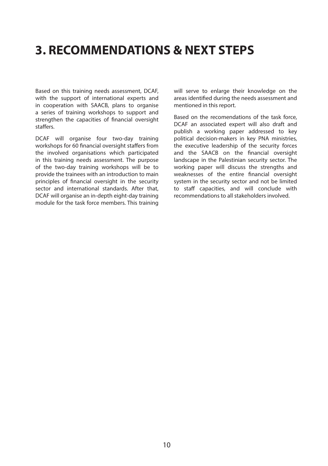## **3. RECOMMENDATIONS & NEXT STEPS**

Based on this training needs assessment, DCAF, with the support of international experts and in cooperation with SAACB, plans to organise a series of training workshops to support and strengthen the capacities of financial oversight staffers.

DCAF will organise four two-day training workshops for 60 financial oversight staffers from the involved organisations which participated in this training needs assessment. The purpose of the two-day training workshops will be to provide the trainees with an introduction to main principles of financial oversight in the security sector and international standards. After that, DCAF will organise an in-depth eight-day training module for the task force members. This training will serve to enlarge their knowledge on the areas identified during the needs assessment and mentioned in this report.

Based on the recomendations of the task force, DCAF an associated expert will also draft and publish a working paper addressed to key political decision-makers in key PNA ministries, the executive leadership of the security forces and the SAACB on the financial oversight landscape in the Palestinian security sector. The working paper will discuss the strengths and weaknesses of the entire financial oversight system in the security sector and not be limited to staff capacities, and will conclude with recommendations to all stakeholders involved.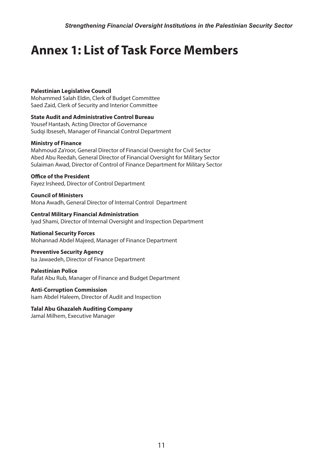## **Annex 1: List of Task Force Members**

#### **Palestinian Legislative Council**

Mohammed Salah Eldin, Clerk of Budget Committee Saed Zaid, Clerk of Security and Interior Committee

**State Audit and Administrative Control Bureau** Yousef Hantash, Acting Director of Governance Sudqi Ibseseh, Manager of Financial Control Department

#### **Ministry of Finance**

Mahmoud Za'roor, General Director of Financial Oversight for Civil Sector Abed Abu Reedah, General Director of Financial Oversight for Military Sector Sulaiman Awad, Director of Control of Finance Department for Military Sector

#### **Office of the President**

Fayez Irsheed, Director of Control Department

**Council of Ministers** Mona Awadh, General Director of Internal Control Department

**Central Military Financial Administration** Iyad Shami, Director of Internal Oversight and Inspection Department

#### **National Security Forces**

Mohannad Abdel Majeed, Manager of Finance Department

#### **Preventive Security Agency**

Isa Jawaedeh, Director of Finance Department

#### **Palestinian Police**

Rafat Abu Rub, Manager of Finance and Budget Department

#### **Anti-Corruption Commission**

Isam Abdel Haleem, Director of Audit and Inspection

## **Talal Abu Ghazaleh Auditing Company**

Jamal Milhem, Executive Manager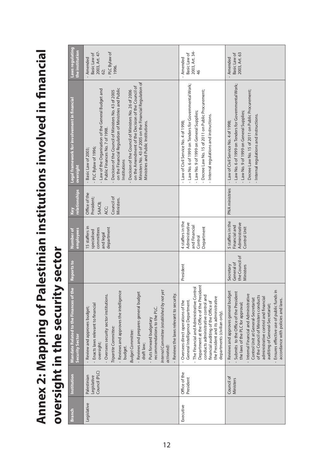**Annex 2: Mapping of Palestinian institutions involved in financial**  Annex 2: Mapping of Palestinian institutions involved in financial oversight in the security sector **oversight in the security sector**

| Laws regulating<br>the institution                        | 2003, Art. 47-<br>- PLC Bylaw of<br>Basic Law of<br>Amended<br>1996.<br>62;                                                                                                                                                                                                                                                                                                                                                                                                     | 2003, Art. 34-<br>Basic Law of<br>Amended<br>$\frac{4}{6}$                                                                                                                                                                                                                                                           | 2003, Art. 63<br>Basic Law of<br>Amended                                                                                                                                                                                                                                                                                                                                                                   |
|-----------------------------------------------------------|---------------------------------------------------------------------------------------------------------------------------------------------------------------------------------------------------------------------------------------------------------------------------------------------------------------------------------------------------------------------------------------------------------------------------------------------------------------------------------|----------------------------------------------------------------------------------------------------------------------------------------------------------------------------------------------------------------------------------------------------------------------------------------------------------------------|------------------------------------------------------------------------------------------------------------------------------------------------------------------------------------------------------------------------------------------------------------------------------------------------------------------------------------------------------------------------------------------------------------|
| Legal framework for involvement in financial<br>oversight | Ministers No. 43 of 2005 on the Financial Regulation of<br>on the Amendment of the Decision of the Council of<br>on the Financial Regulation of Ministries and Public<br>- Law of the Organisation of the General Budget and<br>Decision of the Council of Ministers No. 26 of 2006<br>Decision of the Council of Ministers No. 43 of 2005<br>Ministries and Public Institutions.<br>Public Finances No. 7 of 1998.<br>PLC Bylaw of 1996;<br>Basic Law of 2003;<br>Institutions | - Law No. 6 of 1999 on Tenders for Governmental Work;<br>Decree Law No. 15 of 2011 on Public Procurement;<br>- Law No. 9 of 1999 on General Supplies;<br>- Internal regulations and instructions.<br>- Law of Civil Service No. 4 of 1998;                                                                           | - Law No. 6 of 1999 on Tenders for Governmental Work;<br>- Decree Law No. 15 of 2011 on Public Procurement;<br>- Law No. 9 of 1999 on General Supplies;<br>- Internal regulations and instructions.<br>- Law of Civil Service No. 4 of 1998;                                                                                                                                                               |
| relationships<br>Key                                      | Office of the<br>Council of<br>President;<br>Ministers.<br>SAACB;<br>ACC;                                                                                                                                                                                                                                                                                                                                                                                                       |                                                                                                                                                                                                                                                                                                                      | PNA ministries                                                                                                                                                                                                                                                                                                                                                                                             |
| employees<br>Number of                                    | 15 staffers in<br>department<br>committees<br>specialised<br>and legal                                                                                                                                                                                                                                                                                                                                                                                                          | 4 staffers in the<br>Administrative<br>and Financial<br>Department<br>Control                                                                                                                                                                                                                                        | 5 staffers in the<br>Administrative<br>Financial and<br>Control Unit                                                                                                                                                                                                                                                                                                                                       |
| Reports to                                                |                                                                                                                                                                                                                                                                                                                                                                                                                                                                                 | President                                                                                                                                                                                                                                                                                                            | the Council of<br>General of<br>Secretary<br><b>Ministers</b>                                                                                                                                                                                                                                                                                                                                              |
| Mandate Related to the Finances of the<br>Security Sector | Internal Committee (established by not yet<br>- Reviews and approves the intelligence<br>- Reviews and prepares general budget<br>- Reviews the laws relevant to security.<br>Oversees security sector institutions.<br>Enacts laws relevant to financial<br>Review and approves budget;<br>recommendations to the PLC.<br>- Puts forward budgetary<br>Tripartite Committee:<br><b>Budget Committee:</b><br>oversight;<br>draft law;<br>activated):<br>budget.                  | Department at the Office of the President<br>The Financial and Administrative Control<br>conducts administrative control and<br>the President and its administrative<br>General Intelligence Department.<br>Oversees direct operations of the<br>financial auditing of the Office of<br>departments (civilian only). | Ensures effective use of public funds in<br>Reviews and approves general budget<br>Submits to the Office of the President<br>- Internal Financial and Administrative<br>of the Council of Ministers conducts<br>administrative control and financial<br>Control Unit at General-Secretariat<br>accordance with policies and laws.<br>the laws of the PLC for approval;<br>auditing of General-Secretariat; |
| Institution                                               | Council (PLC)<br>Palestinian<br>Legislative                                                                                                                                                                                                                                                                                                                                                                                                                                     | Office of the<br>President                                                                                                                                                                                                                                                                                           | Council of<br>Ministers                                                                                                                                                                                                                                                                                                                                                                                    |
| Branch                                                    | Legislative                                                                                                                                                                                                                                                                                                                                                                                                                                                                     | Executive                                                                                                                                                                                                                                                                                                            |                                                                                                                                                                                                                                                                                                                                                                                                            |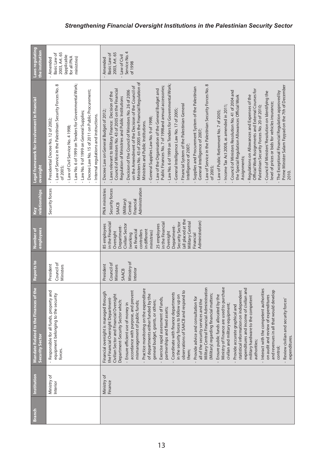| Laws regulating<br>the institution                               | 2003, Art. 65<br>Basic Law of<br>(applicable<br>For all PNA<br>ministries)<br>Amended                                                                                                                                                                                                                                                                     | Service No. 4<br>2003, Art. 65<br>Basic Law of<br>Law of Civil<br>Amended<br>of 1998<br>$\bar{1}$                                                                                                                                                                                                                                                                                                                                                                                                                                                                                                                                                                                                                                                                                                                                                                                                                                                                                                                                                                                                                                                                                                                                                                                                                                                                                                                                                                                                                                       |
|------------------------------------------------------------------|-----------------------------------------------------------------------------------------------------------------------------------------------------------------------------------------------------------------------------------------------------------------------------------------------------------------------------------------------------------|-----------------------------------------------------------------------------------------------------------------------------------------------------------------------------------------------------------------------------------------------------------------------------------------------------------------------------------------------------------------------------------------------------------------------------------------------------------------------------------------------------------------------------------------------------------------------------------------------------------------------------------------------------------------------------------------------------------------------------------------------------------------------------------------------------------------------------------------------------------------------------------------------------------------------------------------------------------------------------------------------------------------------------------------------------------------------------------------------------------------------------------------------------------------------------------------------------------------------------------------------------------------------------------------------------------------------------------------------------------------------------------------------------------------------------------------------------------------------------------------------------------------------------------------|
| Legal framework for involvement in financial<br>oversight        | - Law No. 6 of 1999 on Tenders for Governmental Work;<br>- Law of Service in the Palestinian Security Forces No. 8<br>- Decree Law No. 15 of 2011 on Public Procurement;<br>- Law No. 9 of 1999 on General Supplies;<br>Internal regulations and instructions.<br>- Presidential Decree No. 12 of 2002;<br>- Law of Civil Service No. 4 1998;<br>of 2005; | Ministers No. 43 of 2005 on the Financial Regulation of<br>- Law No. 6 of 1999 on Tenders for Governmental Work;<br>- Law of Service in the Palestinian Security Forces No. 8<br>Prime Minister Salam Fayyad on the 7th of December<br>Public Finances No. 7 of 1998and annual accessories;<br>on the Amendment of the Decision of the Council of<br>Supplies and Procurement System of the Palestinian<br>Council of Ministers No. 43 of 2005 on the Financial<br>- Law of the Organisation of the General Budget and<br>Official Work Assignments and External Courses for<br>Decision of the Council of Ministers No. 26 of 2006<br>- Council of Ministers Resolution No. 41 of 2004 and<br>The Exceptional Financial Regulation approved by<br>Council of Ministers' Resolution on Identifying the<br>- Laws relevant to Military Finance: Decision of the<br>the Special Regulation Allowances Official Work<br>Regulations on Allowances and Expenses of the<br>Regulation of Ministries and Public Institutions<br>level of prices or bids for vehicles insurance;<br>Financial System of the Palestinian General<br>- Income Tax Act 2008, as amended in 2011;<br>Palestinian Security Forces No. 20 of 2010;<br>- General Intelligence Law No. 17 of 2005;<br>- Decree Law on General Budget of 2012;<br>- Law of Public Retirement No. 7 of 2005;<br>General Supplies Law No. 9 of 1998;<br>Ministries and Public Institutions.<br>General Intelligence of 2007<br>Intelligence of 2007;<br>Assignments;<br>of 2005;<br>2010. |
| relationships<br>Key                                             | Security forces                                                                                                                                                                                                                                                                                                                                           | Administration<br>Security forces<br>PNA ministries<br>Financial<br>(Military)<br>Central<br><b>SAACB</b>                                                                                                                                                                                                                                                                                                                                                                                                                                                                                                                                                                                                                                                                                                                                                                                                                                                                                                                                                                                                                                                                                                                                                                                                                                                                                                                                                                                                                               |
| employees<br>Number of                                           |                                                                                                                                                                                                                                                                                                                                                           | (all placed at the<br>Administration)<br>Military Central<br>Security Sector<br>in the Financial<br>in the Financial<br>Civilian Sector<br>25 employees<br>85 employees<br>Department-<br>Department-<br>in different<br>as financial<br>controllers<br>ministries)<br>Oversight<br>Oversight<br>(working<br>Financial                                                                                                                                                                                                                                                                                                                                                                                                                                                                                                                                                                                                                                                                                                                                                                                                                                                                                                                                                                                                                                                                                                                                                                                                                  |
| Reports to                                                       | Council of<br>President<br>Ministers                                                                                                                                                                                                                                                                                                                      | Ministry of<br>Council of<br>President<br>Ministers<br>Interior<br><b>SAACB</b>                                                                                                                                                                                                                                                                                                                                                                                                                                                                                                                                                                                                                                                                                                                                                                                                                                                                                                                                                                                                                                                                                                                                                                                                                                                                                                                                                                                                                                                         |
| Mandate Related to the Finances of the<br><b>Security Sector</b> | Responsible for all funds, property and<br>equipment belonging to the security<br>forces.                                                                                                                                                                                                                                                                 | Military Central Financial Administration<br>Ministry of Finance are used to purchase<br>expenditures and income of civilian and<br>Practice monitoring on the expenditure<br>Interact with the competent authorities<br>statistical information on independent<br>and revenues in all that would develop<br>accordance with purpose, and prevent<br>observations of SAACB and respond to<br>Financial oversight is managed through<br>Coordinate with finance departments<br>(Military) regarding financial matters;<br>Civilian Sector and Financial Oversight<br>of departments either funded by the<br>in the security forces to follow up on<br>Ensure public funds allocated by the<br>on audit and review of expenditures<br>military hardware to the competent<br>Provide advice and consultation for<br>Exercise rapid assessment of funds,<br>the Financial Oversight Department-<br>Review civilian and security forces'<br>all of the security services and the<br>Department-Security Sector which:<br>general budget, grants, or others;<br>mismanagement of public funds;<br>- Ensure efficient use of money in<br>civilian and military equipment;<br>Provide accurate graphical and<br>partnerships and fixed assets;<br>expenditures.<br>authorities;<br>control;<br>them;                                                                                                                                                                                                                                            |
| Institution                                                      | Ministry of<br>Interior                                                                                                                                                                                                                                                                                                                                   | Ministry of<br>Finance                                                                                                                                                                                                                                                                                                                                                                                                                                                                                                                                                                                                                                                                                                                                                                                                                                                                                                                                                                                                                                                                                                                                                                                                                                                                                                                                                                                                                                                                                                                  |
| <b>Branch</b>                                                    |                                                                                                                                                                                                                                                                                                                                                           |                                                                                                                                                                                                                                                                                                                                                                                                                                                                                                                                                                                                                                                                                                                                                                                                                                                                                                                                                                                                                                                                                                                                                                                                                                                                                                                                                                                                                                                                                                                                         |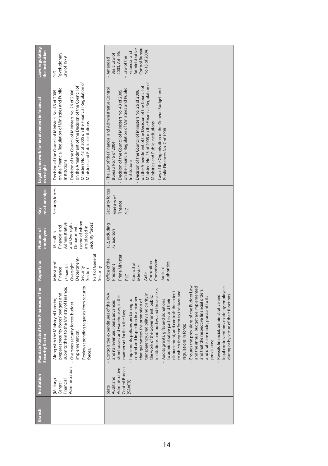| Laws regulating<br>the institution                               | Revolutionary<br>Law of 1979<br>pTd                                                                                                                                                                                                                                                                                                                        | Control Bureau<br>Administrative<br>No.15 of 2004.<br>Financial and<br>2003, Art. 96;<br>Basic Law of<br>- Law of the<br>Amended                                                                                                                                                                                                                                                                                                                                                                                                                                                                                                                                                                                                                                                                                                                                                                               |
|------------------------------------------------------------------|------------------------------------------------------------------------------------------------------------------------------------------------------------------------------------------------------------------------------------------------------------------------------------------------------------------------------------------------------------|----------------------------------------------------------------------------------------------------------------------------------------------------------------------------------------------------------------------------------------------------------------------------------------------------------------------------------------------------------------------------------------------------------------------------------------------------------------------------------------------------------------------------------------------------------------------------------------------------------------------------------------------------------------------------------------------------------------------------------------------------------------------------------------------------------------------------------------------------------------------------------------------------------------|
| <b>Legal framework for involvement in financial</b><br>oversight | Ministers No. 43 of 2005 on the Financial Regulation of<br>on the Amendment of the Decision of the Council of<br>on the Financial Regulation of Ministries and Public<br>Decision of the Council of Ministers No. 26 of 2006<br>- Decision of the Council of Ministers No. 43 of 2005<br>Ministries and Public Institutions<br>Institutions<br>$\mathbf I$ | Ministers No. 43 of 2005 on the Financial Regulation of<br>on the Amendment of the Decision of the Council of<br>The Law of the Financial and Administrative Control<br>on the Financial Regulation of Ministries and Public<br>- Law of the Organisation of the General Budget and<br>Decision of the Council of Ministers No. 26 of 2006<br>Decision of the Council of Ministers No. 43 of 2005<br>Ministries and Public Institutions<br>Public Finances No. 7 of 1998.<br>Bureau No.15 of 2004;<br>Institutions<br>$\mathbf{I}$                                                                                                                                                                                                                                                                                                                                                                             |
| relationships<br>Key                                             | Security forces                                                                                                                                                                                                                                                                                                                                            | Security forces<br>Ministry of<br>Finance<br>PLC                                                                                                                                                                                                                                                                                                                                                                                                                                                                                                                                                                                                                                                                                                                                                                                                                                                               |
| employees<br>Number of                                           | (some of whom<br>security forces)<br>Administrative<br>and Oversight<br>Financial and<br>are placed in<br>Department<br>16 staff in                                                                                                                                                                                                                        | 152, including<br>75 auditors                                                                                                                                                                                                                                                                                                                                                                                                                                                                                                                                                                                                                                                                                                                                                                                                                                                                                  |
| Reports to                                                       | Part of General<br>Department-<br>Ministry of<br>Oversight<br>(Financial<br>Security<br>Security<br>Finance<br>Sector)                                                                                                                                                                                                                                     | Prime Minister<br>Office of the<br>Commission<br>Corruption<br>authorities<br>Council of<br>President<br>Ministers<br>Judicial<br>Anti-<br><b>DTd</b>                                                                                                                                                                                                                                                                                                                                                                                                                                                                                                                                                                                                                                                                                                                                                          |
| Mandate Related to the Finances of the<br>Security Sector        | Reviews spending requests from security<br>submits them to the Ministry of Finance;<br>prepares security forces' budgets and<br>Along with the Ministry of Interior,<br>Oversees security forces' budget<br>implementation;<br>forces.                                                                                                                     | legal contraventions made by employees<br>Ensures the provisions of the Budget Law<br>and the annual budget are implemented<br>institutions and bodies, and those alike;<br>and that the respective financial orders<br>to which they conform to the laws and<br>disbursement, and controls the extent<br>transparency, credibility and clarity in<br>Controls the expenditures of the PNA<br>during or by virtue of their functions.<br>Reveals financial, administrative and<br>the work of the Government, public<br>storehouses and warehouses, in the<br>and drafts are made, pursuant to its<br>control and inspection in a manner<br>- Implements policies pertaining to<br>to administrative parties and their<br>Audits grants, gifts and donations<br>that guarantees the promotion of<br>and its revenues, loans, advances,<br>manner set forth in the law;<br>regulations in force;<br>provisions; |
| Institution                                                      | Administration<br>Financial<br>(Military)<br>Central                                                                                                                                                                                                                                                                                                       | Control Bureau<br>Administrative<br>Audit and<br>(SAACB)<br>State                                                                                                                                                                                                                                                                                                                                                                                                                                                                                                                                                                                                                                                                                                                                                                                                                                              |
| <b>Branch</b>                                                    |                                                                                                                                                                                                                                                                                                                                                            |                                                                                                                                                                                                                                                                                                                                                                                                                                                                                                                                                                                                                                                                                                                                                                                                                                                                                                                |